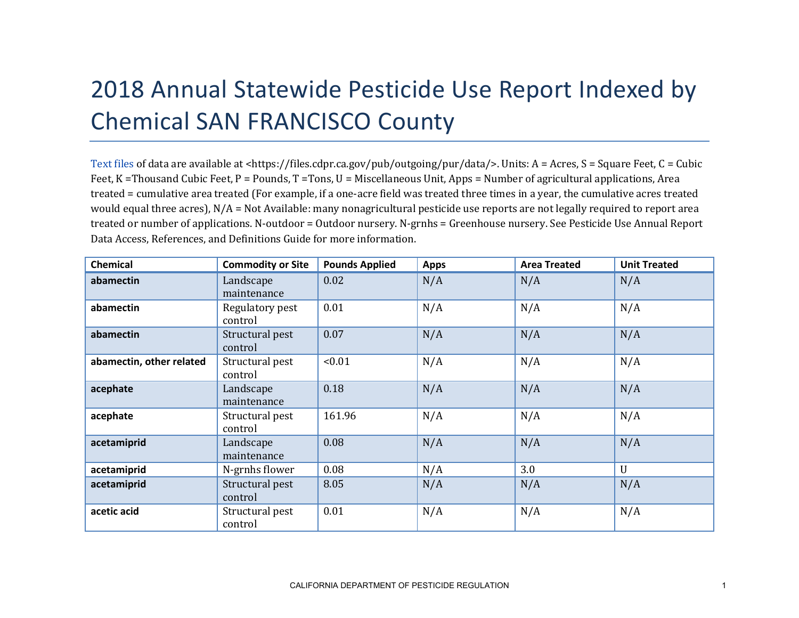## 2018 Annual Statewide Pesticide Use Report Indexed by Chemical SAN FRANCISCO County

[Text files](https://files.cdpr.ca.gov/pub/outgoing/pur/data/) of data are available at <https://files.cdpr.ca.gov/pub/outgoing/pur/data/>. Units: A = Acres, S = Square Feet, C = Cubic Feet, K = Thousand Cubic Feet, P = Pounds, T = Tons, U = Miscellaneous Unit, Apps = Number of agricultural applications, Area treated = cumulative area treated (For example, if a one-acre field was treated three times in a year, the cumulative acres treated would equal three acres),  $N/A = Not$  Available: many nonagricultural pesticide use reports are not legally required to report area treated or number of applications. N-outdoor = Outdoor nursery. N-grnhs = Greenhouse nursery. See Pesticide Use Annual Report Data Access, References, and Definitions Guide for more information.

| <b>Chemical</b>          | <b>Commodity or Site</b>   | <b>Pounds Applied</b> | <b>Apps</b> | <b>Area Treated</b> | <b>Unit Treated</b> |
|--------------------------|----------------------------|-----------------------|-------------|---------------------|---------------------|
| abamectin                | Landscape<br>maintenance   | 0.02                  | N/A         | N/A                 | N/A                 |
| abamectin                | Regulatory pest<br>control | 0.01                  | N/A         | N/A                 | N/A                 |
| abamectin                | Structural pest<br>control | 0.07                  | N/A         | N/A                 | N/A                 |
| abamectin, other related | Structural pest<br>control | < 0.01                | N/A         | N/A                 | N/A                 |
| acephate                 | Landscape<br>maintenance   | 0.18                  | N/A         | N/A                 | N/A                 |
| acephate                 | Structural pest<br>control | 161.96                | N/A         | N/A                 | N/A                 |
| acetamiprid              | Landscape<br>maintenance   | 0.08                  | N/A         | N/A                 | N/A                 |
| acetamiprid              | N-grnhs flower             | 0.08                  | N/A         | 3.0                 | $\mathbf{U}$        |
| acetamiprid              | Structural pest<br>control | 8.05                  | N/A         | N/A                 | N/A                 |
| acetic acid              | Structural pest<br>control | 0.01                  | N/A         | N/A                 | N/A                 |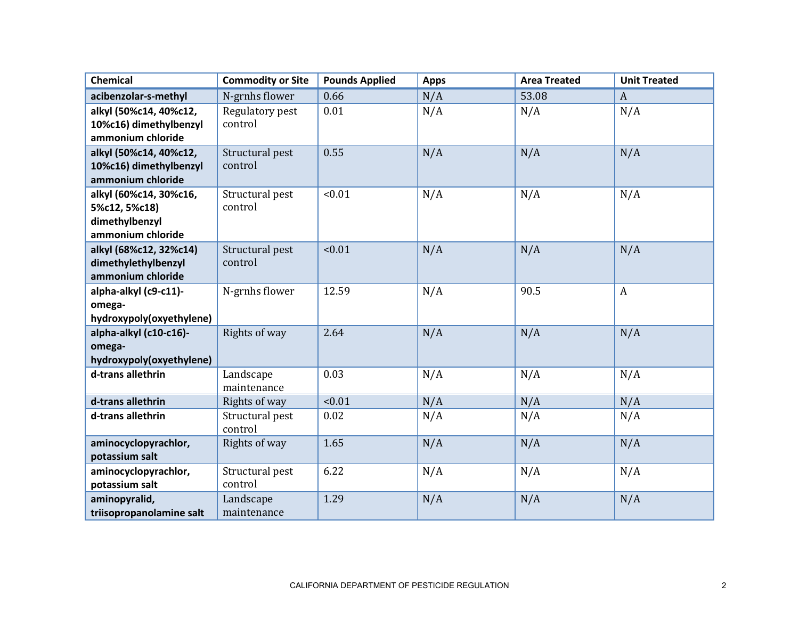| <b>Chemical</b>                    | <b>Commodity or Site</b> | <b>Pounds Applied</b> | <b>Apps</b> | <b>Area Treated</b> | <b>Unit Treated</b> |
|------------------------------------|--------------------------|-----------------------|-------------|---------------------|---------------------|
| acibenzolar-s-methyl               | N-grnhs flower           | 0.66                  | N/A         | 53.08               | $\boldsymbol{A}$    |
| alkyl (50%c14, 40%c12,             | Regulatory pest          | 0.01                  | N/A         | N/A                 | N/A                 |
| 10%c16) dimethylbenzyl             | control                  |                       |             |                     |                     |
| ammonium chloride                  |                          |                       |             |                     |                     |
| alkyl (50%c14, 40%c12,             | Structural pest          | 0.55                  | N/A         | N/A                 | N/A                 |
| 10%c16) dimethylbenzyl             | control                  |                       |             |                     |                     |
| ammonium chloride                  |                          |                       |             |                     |                     |
| alkyl (60%c14, 30%c16,             | Structural pest          | < 0.01                | N/A         | N/A                 | N/A                 |
| 5%c12, 5%c18)                      | control                  |                       |             |                     |                     |
| dimethylbenzyl                     |                          |                       |             |                     |                     |
| ammonium chloride                  |                          |                       |             |                     |                     |
| alkyl (68%c12, 32%c14)             | Structural pest          | < 0.01                | N/A         | N/A                 | N/A                 |
| dimethylethylbenzyl                | control                  |                       |             |                     |                     |
| ammonium chloride                  |                          |                       |             |                     |                     |
| alpha-alkyl (c9-c11)-              | N-grnhs flower           | 12.59                 | N/A         | 90.5                | $\boldsymbol{A}$    |
| omega-                             |                          |                       |             |                     |                     |
| hydroxypoly(oxyethylene)           |                          |                       |             |                     |                     |
| alpha-alkyl (c10-c16)-             | Rights of way            | 2.64                  | N/A         | N/A                 | N/A                 |
| omega-<br>hydroxypoly(oxyethylene) |                          |                       |             |                     |                     |
| d-trans allethrin                  | Landscape                | 0.03                  | N/A         | N/A                 | N/A                 |
|                                    | maintenance              |                       |             |                     |                     |
| d-trans allethrin                  | Rights of way            | < 0.01                | N/A         | N/A                 | N/A                 |
| d-trans allethrin                  | Structural pest          | 0.02                  | N/A         | N/A                 | N/A                 |
|                                    | control                  |                       |             |                     |                     |
| aminocyclopyrachlor,               | Rights of way            | 1.65                  | N/A         | N/A                 | N/A                 |
| potassium salt                     |                          |                       |             |                     |                     |
| aminocyclopyrachlor,               | Structural pest          | 6.22                  | N/A         | N/A                 | N/A                 |
| potassium salt                     | control                  |                       |             |                     |                     |
| aminopyralid,                      | Landscape                | 1.29                  | N/A         | N/A                 | N/A                 |
| triisopropanolamine salt           | maintenance              |                       |             |                     |                     |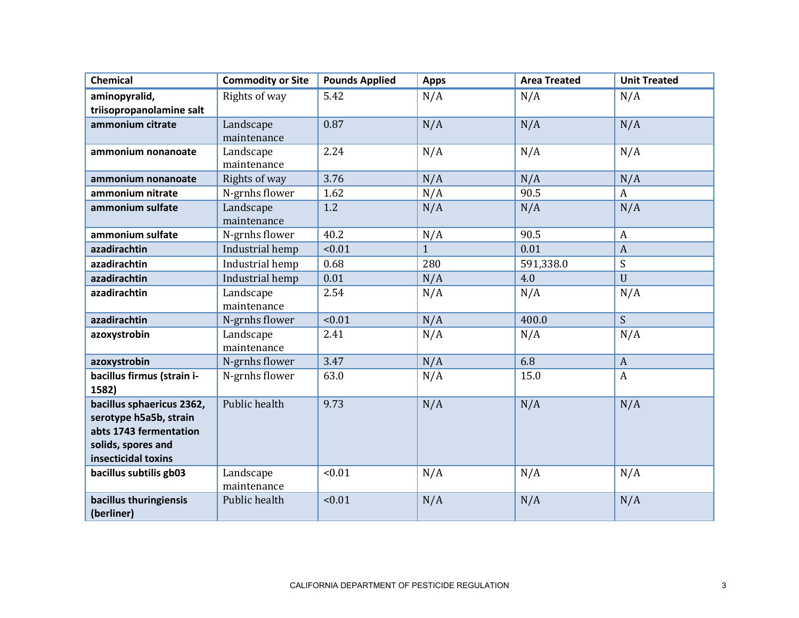| <b>Chemical</b>            | <b>Commodity or Site</b> | <b>Pounds Applied</b> | <b>Apps</b>  | <b>Area Treated</b> | <b>Unit Treated</b> |
|----------------------------|--------------------------|-----------------------|--------------|---------------------|---------------------|
| aminopyralid,              | Rights of way            | 5.42                  | N/A          | N/A                 | N/A                 |
| triisopropanolamine salt   |                          |                       |              |                     |                     |
| ammonium citrate           | Landscape                | 0.87                  | N/A          | N/A                 | N/A                 |
|                            | maintenance              |                       |              |                     |                     |
| ammonium nonanoate         | Landscape                | 2.24                  | N/A          | N/A                 | N/A                 |
|                            | maintenance              |                       |              |                     |                     |
| ammonium nonanoate         | Rights of way            | 3.76                  | N/A          | N/A                 | N/A                 |
| ammonium nitrate           | N-grnhs flower           | 1.62                  | N/A          | 90.5                | $\boldsymbol{A}$    |
| ammonium sulfate           | Landscape                | 1.2                   | N/A          | N/A                 | N/A                 |
|                            | maintenance              |                       |              |                     |                     |
| ammonium sulfate           | N-grnhs flower           | 40.2                  | N/A          | 90.5                | $\mathbf{A}$        |
| azadirachtin               | Industrial hemp          | < 0.01                | $\mathbf{1}$ | 0.01                | $\boldsymbol{A}$    |
| azadirachtin               | Industrial hemp          | 0.68                  | 280          | 591,338.0           | S                   |
| azadirachtin               | Industrial hemp          | 0.01                  | N/A          | 4.0                 | $\mathbf{U}$        |
| azadirachtin               | Landscape                | 2.54                  | N/A          | N/A                 | N/A                 |
|                            | maintenance              |                       |              |                     |                     |
| azadirachtin               | N-grnhs flower           | < 0.01                | N/A          | 400.0               | S                   |
| azoxystrobin               | Landscape                | 2.41                  | N/A          | N/A                 | N/A                 |
|                            | maintenance              |                       |              |                     |                     |
| azoxystrobin               | N-grnhs flower           | 3.47                  | N/A          | 6.8                 | $\mathbf{A}$        |
| bacillus firmus (strain i- | N-grnhs flower           | 63.0                  | N/A          | 15.0                | $\boldsymbol{A}$    |
| 1582)                      |                          |                       |              |                     |                     |
| bacillus sphaericus 2362,  | Public health            | 9.73                  | N/A          | N/A                 | N/A                 |
| serotype h5a5b, strain     |                          |                       |              |                     |                     |
| abts 1743 fermentation     |                          |                       |              |                     |                     |
| solids, spores and         |                          |                       |              |                     |                     |
| insecticidal toxins        |                          |                       |              |                     |                     |
| bacillus subtilis gb03     | Landscape                | < 0.01                | N/A          | N/A                 | N/A                 |
|                            | maintenance              |                       |              |                     |                     |
| bacillus thuringiensis     | Public health            | < 0.01                | N/A          | N/A                 | N/A                 |
| (berliner)                 |                          |                       |              |                     |                     |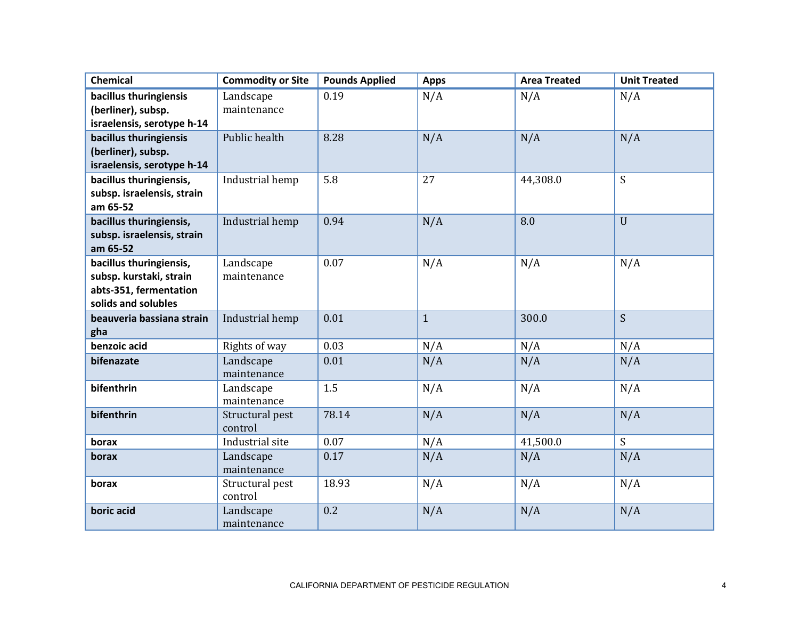| <b>Chemical</b>            | <b>Commodity or Site</b> | <b>Pounds Applied</b> | <b>Apps</b>  | <b>Area Treated</b> | <b>Unit Treated</b> |
|----------------------------|--------------------------|-----------------------|--------------|---------------------|---------------------|
| bacillus thuringiensis     | Landscape                | 0.19                  | N/A          | N/A                 | N/A                 |
| (berliner), subsp.         | maintenance              |                       |              |                     |                     |
| israelensis, serotype h-14 |                          |                       |              |                     |                     |
| bacillus thuringiensis     | Public health            | 8.28                  | N/A          | N/A                 | N/A                 |
| (berliner), subsp.         |                          |                       |              |                     |                     |
| israelensis, serotype h-14 |                          |                       |              |                     |                     |
| bacillus thuringiensis,    | Industrial hemp          | 5.8                   | 27           | 44,308.0            | S                   |
| subsp. israelensis, strain |                          |                       |              |                     |                     |
| am 65-52                   |                          |                       |              |                     |                     |
| bacillus thuringiensis,    | Industrial hemp          | 0.94                  | N/A          | 8.0                 | $\mathbf{U}$        |
| subsp. israelensis, strain |                          |                       |              |                     |                     |
| am 65-52                   |                          |                       |              |                     |                     |
| bacillus thuringiensis,    | Landscape                | 0.07                  | N/A          | N/A                 | N/A                 |
| subsp. kurstaki, strain    | maintenance              |                       |              |                     |                     |
| abts-351, fermentation     |                          |                       |              |                     |                     |
| solids and solubles        |                          |                       |              |                     |                     |
| beauveria bassiana strain  | Industrial hemp          | 0.01                  | $\mathbf{1}$ | 300.0               | $\mathsf{S}$        |
| gha                        |                          |                       |              |                     |                     |
| benzoic acid               | Rights of way            | 0.03                  | N/A          | N/A                 | N/A                 |
| bifenazate                 | Landscape                | 0.01                  | N/A          | N/A                 | N/A                 |
|                            | maintenance              |                       |              |                     |                     |
| bifenthrin                 | Landscape<br>maintenance | 1.5                   | N/A          | N/A                 | N/A                 |
| bifenthrin                 | Structural pest          | 78.14                 | N/A          | N/A                 | N/A                 |
|                            | control                  |                       |              |                     |                     |
| borax                      | Industrial site          | 0.07                  | N/A          | 41,500.0            | S                   |
| borax                      | Landscape                | 0.17                  | N/A          | N/A                 | N/A                 |
|                            | maintenance              |                       |              |                     |                     |
| borax                      | Structural pest          | 18.93                 | N/A          | N/A                 | N/A                 |
|                            | control                  |                       |              |                     |                     |
| boric acid                 | Landscape                | 0.2                   | N/A          | N/A                 | N/A                 |
|                            | maintenance              |                       |              |                     |                     |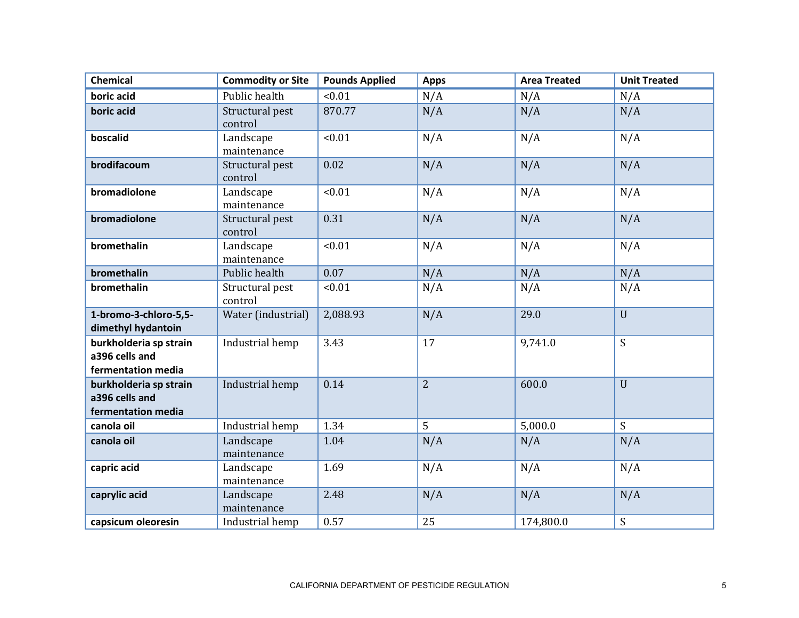| <b>Chemical</b>                                                | <b>Commodity or Site</b>   | <b>Pounds Applied</b> | <b>Apps</b>    | <b>Area Treated</b> | <b>Unit Treated</b> |
|----------------------------------------------------------------|----------------------------|-----------------------|----------------|---------------------|---------------------|
| boric acid                                                     | Public health              | <0.01                 | N/A            | N/A                 | N/A                 |
| boric acid                                                     | Structural pest<br>control | 870.77                | N/A            | N/A                 | N/A                 |
| boscalid                                                       | Landscape<br>maintenance   | < 0.01                | N/A            | N/A                 | N/A                 |
| brodifacoum                                                    | Structural pest<br>control | 0.02                  | N/A            | N/A                 | N/A                 |
| bromadiolone                                                   | Landscape<br>maintenance   | < 0.01                | N/A            | N/A                 | N/A                 |
| bromadiolone                                                   | Structural pest<br>control | 0.31                  | N/A            | N/A                 | N/A                 |
| bromethalin                                                    | Landscape<br>maintenance   | < 0.01                | N/A            | N/A                 | N/A                 |
| bromethalin                                                    | Public health              | 0.07                  | N/A            | N/A                 | N/A                 |
| bromethalin                                                    | Structural pest<br>control | <0.01                 | N/A            | N/A                 | N/A                 |
| 1-bromo-3-chloro-5,5-<br>dimethyl hydantoin                    | Water (industrial)         | 2,088.93              | N/A            | 29.0                | $\mathbf U$         |
| burkholderia sp strain<br>a396 cells and<br>fermentation media | Industrial hemp            | 3.43                  | 17             | 9,741.0             | S                   |
| burkholderia sp strain<br>a396 cells and<br>fermentation media | Industrial hemp            | 0.14                  | $\overline{2}$ | 600.0               | $\mathbf{U}$        |
| canola oil                                                     | Industrial hemp            | 1.34                  | 5              | 5,000.0             | S                   |
| canola oil                                                     | Landscape<br>maintenance   | 1.04                  | N/A            | N/A                 | N/A                 |
| capric acid                                                    | Landscape<br>maintenance   | 1.69                  | N/A            | N/A                 | N/A                 |
| caprylic acid                                                  | Landscape<br>maintenance   | 2.48                  | N/A            | N/A                 | N/A                 |
| capsicum oleoresin                                             | Industrial hemp            | 0.57                  | 25             | 174,800.0           | S                   |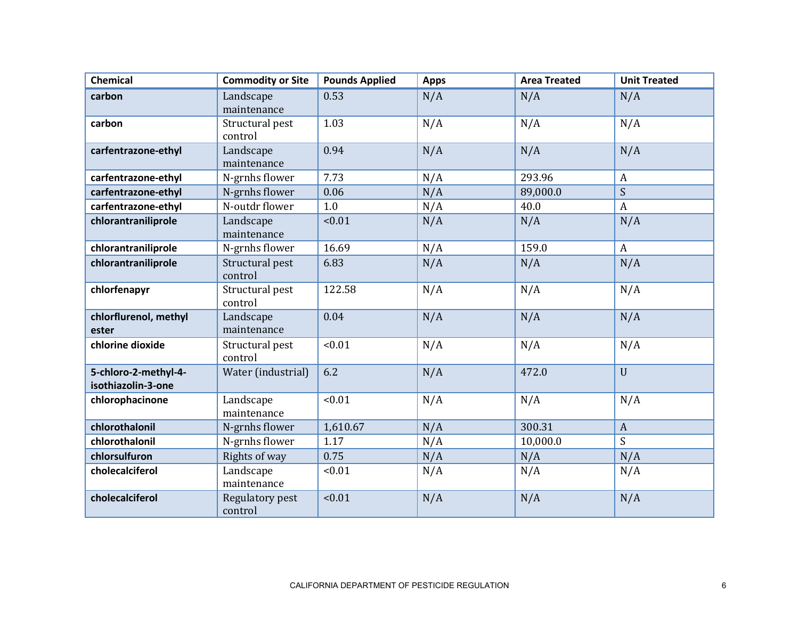| <b>Chemical</b>                            | <b>Commodity or Site</b>   | <b>Pounds Applied</b> | <b>Apps</b> | <b>Area Treated</b> | <b>Unit Treated</b> |
|--------------------------------------------|----------------------------|-----------------------|-------------|---------------------|---------------------|
| carbon                                     | Landscape<br>maintenance   | 0.53                  | N/A         | N/A                 | N/A                 |
| carbon                                     | Structural pest<br>control | 1.03                  | N/A         | N/A                 | N/A                 |
| carfentrazone-ethyl                        | Landscape<br>maintenance   | 0.94                  | N/A         | N/A                 | N/A                 |
| carfentrazone-ethyl                        | N-grnhs flower             | 7.73                  | N/A         | 293.96              | $\boldsymbol{A}$    |
| carfentrazone-ethyl                        | N-grnhs flower             | 0.06                  | N/A         | 89,000.0            | S                   |
| carfentrazone-ethyl                        | N-outdr flower             | 1.0                   | N/A         | 40.0                | $\boldsymbol{A}$    |
| chlorantraniliprole                        | Landscape<br>maintenance   | < 0.01                | N/A         | N/A                 | N/A                 |
| chlorantraniliprole                        | N-grnhs flower             | 16.69                 | N/A         | 159.0               | $\mathbf{A}$        |
| chlorantraniliprole                        | Structural pest<br>control | 6.83                  | N/A         | N/A                 | N/A                 |
| chlorfenapyr                               | Structural pest<br>control | 122.58                | N/A         | N/A                 | N/A                 |
| chlorflurenol, methyl<br>ester             | Landscape<br>maintenance   | 0.04                  | N/A         | N/A                 | N/A                 |
| chlorine dioxide                           | Structural pest<br>control | < 0.01                | N/A         | N/A                 | N/A                 |
| 5-chloro-2-methyl-4-<br>isothiazolin-3-one | Water (industrial)         | 6.2                   | N/A         | 472.0               | $\mathbf{U}$        |
| chlorophacinone                            | Landscape<br>maintenance   | < 0.01                | N/A         | N/A                 | N/A                 |
| chlorothalonil                             | N-grnhs flower             | 1,610.67              | N/A         | 300.31              | $\mathbf{A}$        |
| chlorothalonil                             | N-grnhs flower             | 1.17                  | N/A         | 10,000.0            | S                   |
| chlorsulfuron                              | Rights of way              | 0.75                  | N/A         | N/A                 | N/A                 |
| cholecalciferol                            | Landscape<br>maintenance   | < 0.01                | N/A         | N/A                 | N/A                 |
| cholecalciferol                            | Regulatory pest<br>control | 10.01                 | N/A         | N/A                 | N/A                 |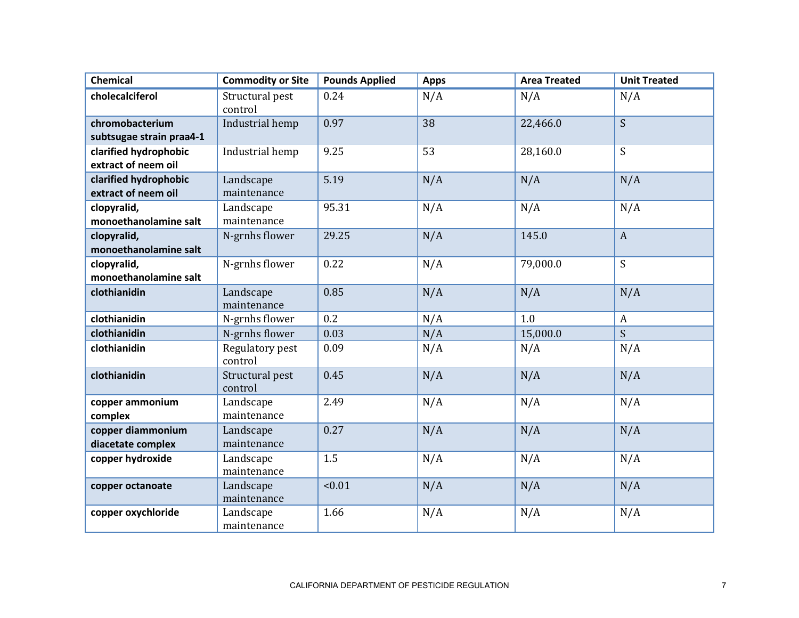| <b>Chemical</b>                             | <b>Commodity or Site</b>   | <b>Pounds Applied</b> | <b>Apps</b> | <b>Area Treated</b> | <b>Unit Treated</b> |
|---------------------------------------------|----------------------------|-----------------------|-------------|---------------------|---------------------|
| cholecalciferol                             | Structural pest<br>control | 0.24                  | N/A         | N/A                 | N/A                 |
| chromobacterium<br>subtsugae strain praa4-1 | Industrial hemp            | 0.97                  | 38          | 22,466.0            | S                   |
| clarified hydrophobic                       | Industrial hemp            | 9.25                  | 53          | 28,160.0            | S                   |
| extract of neem oil                         |                            |                       |             |                     |                     |
| clarified hydrophobic                       | Landscape                  | 5.19                  | N/A         | N/A                 | N/A                 |
| extract of neem oil                         | maintenance                |                       |             |                     |                     |
| clopyralid,                                 | Landscape                  | 95.31                 | N/A         | N/A                 | N/A                 |
| monoethanolamine salt                       | maintenance                |                       |             |                     |                     |
| clopyralid,                                 | N-grnhs flower             | 29.25                 | N/A         | 145.0               | $\mathbf{A}$        |
| monoethanolamine salt                       |                            |                       |             |                     | $\overline{S}$      |
| clopyralid,<br>monoethanolamine salt        | N-grnhs flower             | 0.22                  | N/A         | 79,000.0            |                     |
| clothianidin                                | Landscape                  | 0.85                  | N/A         | N/A                 | N/A                 |
|                                             | maintenance                |                       |             |                     |                     |
| clothianidin                                | N-grnhs flower             | 0.2                   | N/A         | 1.0                 | $\boldsymbol{A}$    |
| clothianidin                                | N-grnhs flower             | 0.03                  | N/A         | 15,000.0            | $\mathsf{S}$        |
| clothianidin                                | Regulatory pest<br>control | 0.09                  | N/A         | N/A                 | N/A                 |
| clothianidin                                | Structural pest<br>control | 0.45                  | N/A         | N/A                 | N/A                 |
| copper ammonium<br>complex                  | Landscape<br>maintenance   | 2.49                  | N/A         | N/A                 | N/A                 |
| copper diammonium<br>diacetate complex      | Landscape<br>maintenance   | 0.27                  | N/A         | N/A                 | N/A                 |
| copper hydroxide                            | Landscape<br>maintenance   | 1.5                   | N/A         | N/A                 | N/A                 |
| copper octanoate                            | Landscape<br>maintenance   | < 0.01                | N/A         | N/A                 | N/A                 |
| copper oxychloride                          | Landscape<br>maintenance   | 1.66                  | N/A         | N/A                 | N/A                 |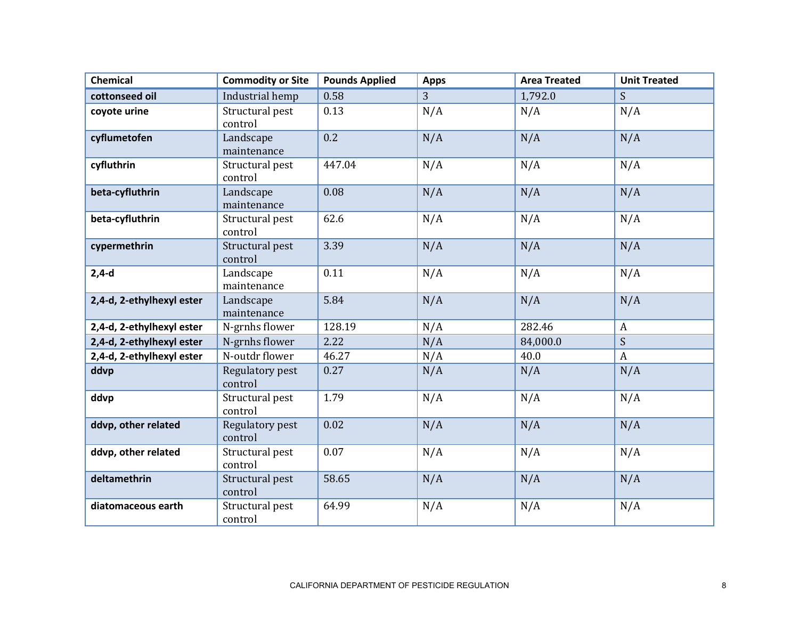| <b>Chemical</b>           | <b>Commodity or Site</b>   | <b>Pounds Applied</b> | <b>Apps</b> | <b>Area Treated</b> | <b>Unit Treated</b> |
|---------------------------|----------------------------|-----------------------|-------------|---------------------|---------------------|
| cottonseed oil            | Industrial hemp            | 0.58                  | 3           | 1,792.0             | S.                  |
| coyote urine              | Structural pest<br>control | 0.13                  | N/A         | N/A                 | N/A                 |
| cyflumetofen              | Landscape<br>maintenance   | 0.2                   | N/A         | N/A                 | N/A                 |
| cyfluthrin                | Structural pest<br>control | 447.04                | N/A         | N/A                 | N/A                 |
| beta-cyfluthrin           | Landscape<br>maintenance   | 0.08                  | N/A         | N/A                 | N/A                 |
| beta-cyfluthrin           | Structural pest<br>control | 62.6                  | N/A         | N/A                 | N/A                 |
| cypermethrin              | Structural pest<br>control | 3.39                  | N/A         | N/A                 | N/A                 |
| $2,4-d$                   | Landscape<br>maintenance   | 0.11                  | N/A         | N/A                 | N/A                 |
| 2,4-d, 2-ethylhexyl ester | Landscape<br>maintenance   | 5.84                  | N/A         | N/A                 | N/A                 |
| 2,4-d, 2-ethylhexyl ester | N-grnhs flower             | 128.19                | N/A         | 282.46              | $\boldsymbol{A}$    |
| 2,4-d, 2-ethylhexyl ester | N-grnhs flower             | 2.22                  | N/A         | 84,000.0            | S                   |
| 2,4-d, 2-ethylhexyl ester | N-outdr flower             | 46.27                 | N/A         | 40.0                | $\overline{A}$      |
| ddvp                      | Regulatory pest<br>control | 0.27                  | N/A         | N/A                 | N/A                 |
| ddvp                      | Structural pest<br>control | 1.79                  | N/A         | N/A                 | N/A                 |
| ddvp, other related       | Regulatory pest<br>control | 0.02                  | N/A         | N/A                 | N/A                 |
| ddvp, other related       | Structural pest<br>control | 0.07                  | N/A         | N/A                 | N/A                 |
| deltamethrin              | Structural pest<br>control | 58.65                 | N/A         | N/A                 | N/A                 |
| diatomaceous earth        | Structural pest<br>control | 64.99                 | N/A         | N/A                 | N/A                 |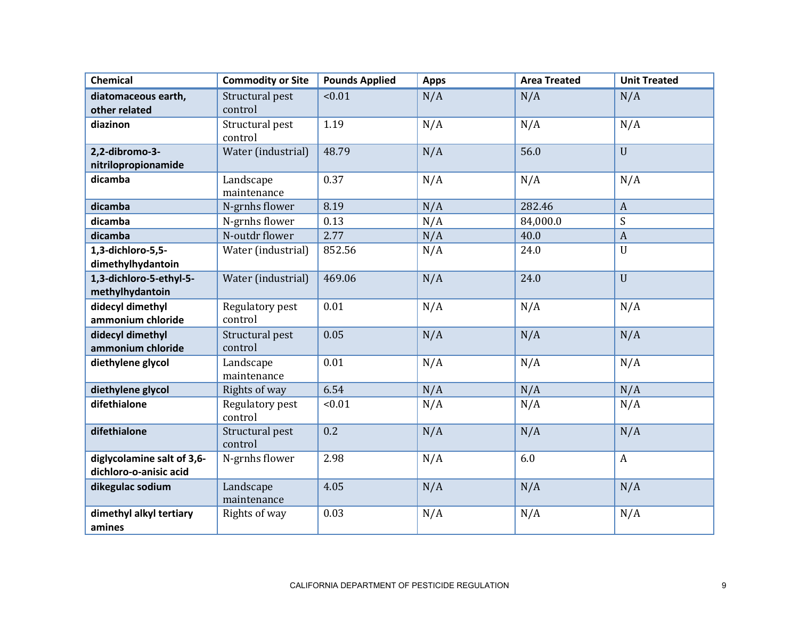| <b>Chemical</b>            | <b>Commodity or Site</b> | <b>Pounds Applied</b> | <b>Apps</b> | <b>Area Treated</b> | <b>Unit Treated</b> |
|----------------------------|--------------------------|-----------------------|-------------|---------------------|---------------------|
| diatomaceous earth,        | Structural pest          | < 0.01                | N/A         | N/A                 | N/A                 |
| other related              | control                  |                       |             |                     |                     |
| diazinon                   | Structural pest          | 1.19                  | N/A         | N/A                 | N/A                 |
|                            | control                  |                       |             |                     |                     |
| 2,2-dibromo-3-             | Water (industrial)       | 48.79                 | N/A         | 56.0                | $\mathbf{U}$        |
| nitrilopropionamide        |                          |                       |             |                     |                     |
| dicamba                    | Landscape                | 0.37                  | N/A         | N/A                 | N/A                 |
|                            | maintenance              |                       |             |                     |                     |
| dicamba                    | N-grnhs flower           | 8.19                  | N/A         | 282.46              | $\overline{A}$      |
| dicamba                    | N-grnhs flower           | 0.13                  | N/A         | 84,000.0            | S                   |
| dicamba                    | N-outdr flower           | 2.77                  | N/A         | 40.0                | $\boldsymbol{A}$    |
| 1,3-dichloro-5,5-          | Water (industrial)       | 852.56                | N/A         | 24.0                | $\mathbf{U}$        |
| dimethylhydantoin          |                          |                       |             |                     |                     |
| 1,3-dichloro-5-ethyl-5-    | Water (industrial)       | 469.06                | N/A         | 24.0                | $\mathbf U$         |
| methylhydantoin            |                          |                       |             |                     |                     |
| didecyl dimethyl           | Regulatory pest          | 0.01                  | N/A         | N/A                 | N/A                 |
| ammonium chloride          | control                  |                       |             |                     |                     |
| didecyl dimethyl           | Structural pest          | 0.05                  | N/A         | N/A                 | N/A                 |
| ammonium chloride          | control                  |                       |             |                     |                     |
| diethylene glycol          | Landscape                | 0.01                  | N/A         | N/A                 | N/A                 |
|                            | maintenance              |                       |             |                     |                     |
| diethylene glycol          | Rights of way            | 6.54                  | N/A         | N/A                 | N/A                 |
| difethialone               | Regulatory pest          | < 0.01                | N/A         | N/A                 | N/A                 |
|                            | control                  |                       |             |                     |                     |
| difethialone               | Structural pest          | 0.2                   | N/A         | N/A                 | N/A                 |
|                            | control                  |                       |             |                     |                     |
| diglycolamine salt of 3,6- | N-grnhs flower           | 2.98                  | N/A         | 6.0                 | $\boldsymbol{A}$    |
| dichloro-o-anisic acid     |                          |                       |             |                     |                     |
| dikegulac sodium           | Landscape                | 4.05                  | N/A         | N/A                 | N/A                 |
|                            | maintenance              |                       |             |                     |                     |
| dimethyl alkyl tertiary    | Rights of way            | 0.03                  | N/A         | N/A                 | N/A                 |
| amines                     |                          |                       |             |                     |                     |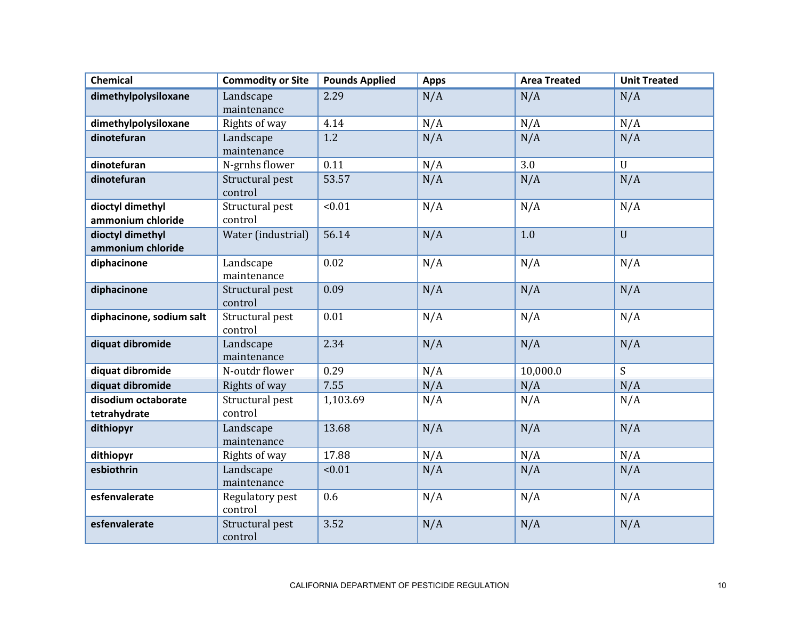| <b>Chemical</b>                       | <b>Commodity or Site</b>   | <b>Pounds Applied</b> | <b>Apps</b> | <b>Area Treated</b> | <b>Unit Treated</b> |
|---------------------------------------|----------------------------|-----------------------|-------------|---------------------|---------------------|
| dimethylpolysiloxane                  | Landscape<br>maintenance   | 2.29                  | N/A         | N/A                 | N/A                 |
| dimethylpolysiloxane                  | Rights of way              | 4.14                  | N/A         | N/A                 | N/A                 |
| dinotefuran                           | Landscape<br>maintenance   | 1.2                   | N/A         | N/A                 | N/A                 |
| dinotefuran                           | N-grnhs flower             | 0.11                  | N/A         | 3.0                 | $\mathbf{U}$        |
| dinotefuran                           | Structural pest<br>control | 53.57                 | N/A         | N/A                 | N/A                 |
| dioctyl dimethyl<br>ammonium chloride | Structural pest<br>control | < 0.01                | N/A         | N/A                 | N/A                 |
| dioctyl dimethyl<br>ammonium chloride | Water (industrial)         | 56.14                 | N/A         | 1.0                 | $\overline{U}$      |
| diphacinone                           | Landscape<br>maintenance   | 0.02                  | N/A         | N/A                 | N/A                 |
| diphacinone                           | Structural pest<br>control | 0.09                  | N/A         | N/A                 | N/A                 |
| diphacinone, sodium salt              | Structural pest<br>control | 0.01                  | N/A         | N/A                 | N/A                 |
| diquat dibromide                      | Landscape<br>maintenance   | 2.34                  | N/A         | N/A                 | N/A                 |
| diquat dibromide                      | N-outdr flower             | 0.29                  | N/A         | 10,000.0            | S                   |
| diquat dibromide                      | Rights of way              | 7.55                  | N/A         | N/A                 | N/A                 |
| disodium octaborate<br>tetrahydrate   | Structural pest<br>control | 1,103.69              | N/A         | N/A                 | N/A                 |
| dithiopyr                             | Landscape<br>maintenance   | 13.68                 | N/A         | N/A                 | N/A                 |
| dithiopyr                             | Rights of way              | 17.88                 | N/A         | N/A                 | N/A                 |
| esbiothrin                            | Landscape<br>maintenance   | < 0.01                | N/A         | N/A                 | N/A                 |
| esfenvalerate                         | Regulatory pest<br>control | 0.6                   | N/A         | N/A                 | N/A                 |
| esfenvalerate                         | Structural pest<br>control | 3.52                  | N/A         | N/A                 | N/A                 |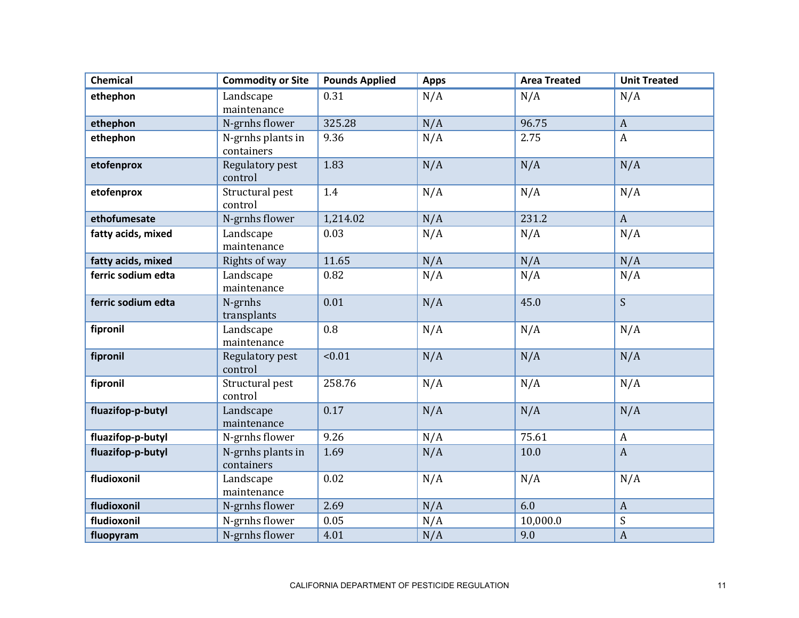| Chemical           | <b>Commodity or Site</b>        | <b>Pounds Applied</b> | <b>Apps</b> | <b>Area Treated</b> | <b>Unit Treated</b> |
|--------------------|---------------------------------|-----------------------|-------------|---------------------|---------------------|
| ethephon           | Landscape<br>maintenance        | 0.31                  | N/A         | N/A                 | N/A                 |
| ethephon           | N-grnhs flower                  | 325.28                | N/A         | 96.75               | $\mathbf{A}$        |
| ethephon           | N-grnhs plants in<br>containers | 9.36                  | N/A         | 2.75                | $\boldsymbol{A}$    |
| etofenprox         | Regulatory pest<br>control      | 1.83                  | N/A         | N/A                 | N/A                 |
| etofenprox         | Structural pest<br>control      | 1.4                   | N/A         | N/A                 | N/A                 |
| ethofumesate       | N-grnhs flower                  | 1,214.02              | N/A         | 231.2               | $\mathbf{A}$        |
| fatty acids, mixed | Landscape<br>maintenance        | 0.03                  | N/A         | N/A                 | N/A                 |
| fatty acids, mixed | Rights of way                   | 11.65                 | N/A         | N/A                 | N/A                 |
| ferric sodium edta | Landscape<br>maintenance        | 0.82                  | N/A         | N/A                 | N/A                 |
| ferric sodium edta | N-grnhs<br>transplants          | 0.01                  | N/A         | 45.0                | S.                  |
| fipronil           | Landscape<br>maintenance        | 0.8                   | N/A         | N/A                 | N/A                 |
| fipronil           | Regulatory pest<br>control      | < 0.01                | N/A         | N/A                 | N/A                 |
| fipronil           | Structural pest<br>control      | 258.76                | N/A         | N/A                 | N/A                 |
| fluazifop-p-butyl  | Landscape<br>maintenance        | 0.17                  | N/A         | N/A                 | N/A                 |
| fluazifop-p-butyl  | N-grnhs flower                  | 9.26                  | N/A         | 75.61               | $\mathbf{A}$        |
| fluazifop-p-butyl  | N-grnhs plants in<br>containers | 1.69                  | N/A         | 10.0                | $\mathbf{A}$        |
| fludioxonil        | Landscape<br>maintenance        | 0.02                  | N/A         | N/A                 | N/A                 |
| fludioxonil        | N-grnhs flower                  | 2.69                  | N/A         | 6.0                 | $\mathbf{A}$        |
| fludioxonil        | N-grnhs flower                  | 0.05                  | N/A         | 10,000.0            | S                   |
| fluopyram          | N-grnhs flower                  | 4.01                  | N/A         | 9.0                 | $\mathbf{A}$        |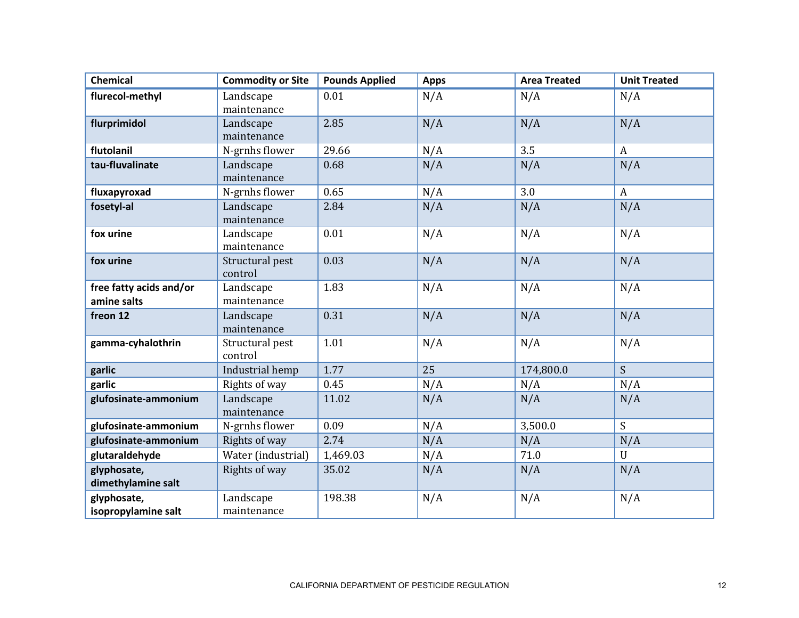| <b>Chemical</b>         | <b>Commodity or Site</b> | <b>Pounds Applied</b> | <b>Apps</b> | <b>Area Treated</b> | <b>Unit Treated</b> |
|-------------------------|--------------------------|-----------------------|-------------|---------------------|---------------------|
| flurecol-methyl         | Landscape                | 0.01                  | N/A         | N/A                 | N/A                 |
|                         | maintenance              |                       |             |                     |                     |
| flurprimidol            | Landscape                | 2.85                  | N/A         | N/A                 | N/A                 |
|                         | maintenance              |                       |             |                     |                     |
| flutolanil              | N-grnhs flower           | 29.66                 | N/A         | 3.5                 | $\mathbf{A}$        |
| tau-fluvalinate         | Landscape                | 0.68                  | N/A         | N/A                 | N/A                 |
|                         | maintenance              |                       |             |                     |                     |
| fluxapyroxad            | N-grnhs flower           | 0.65                  | N/A         | 3.0                 | $\mathbf{A}$        |
| fosetyl-al              | Landscape                | 2.84                  | N/A         | N/A                 | N/A                 |
|                         | maintenance              |                       |             |                     |                     |
| fox urine               | Landscape                | 0.01                  | N/A         | N/A                 | N/A                 |
|                         | maintenance              |                       |             |                     |                     |
| fox urine               | Structural pest          | 0.03                  | N/A         | N/A                 | N/A                 |
|                         | control                  |                       |             |                     |                     |
| free fatty acids and/or | Landscape                | 1.83                  | N/A         | N/A                 | N/A                 |
| amine salts             | maintenance              |                       |             |                     |                     |
| freon 12                | Landscape                | 0.31                  | N/A         | N/A                 | N/A                 |
|                         | maintenance              |                       |             |                     |                     |
| gamma-cyhalothrin       | Structural pest          | 1.01                  | N/A         | N/A                 | N/A                 |
|                         | control                  |                       |             |                     |                     |
| garlic                  | Industrial hemp          | 1.77                  | 25          | 174,800.0           | $\overline{S}$      |
| garlic                  | Rights of way            | 0.45                  | N/A         | N/A                 | N/A                 |
| glufosinate-ammonium    | Landscape                | 11.02                 | N/A         | N/A                 | N/A                 |
|                         | maintenance              |                       |             |                     |                     |
| glufosinate-ammonium    | N-grnhs flower           | 0.09                  | N/A         | 3,500.0             | $\overline{S}$      |
| glufosinate-ammonium    | Rights of way            | 2.74                  | N/A         | N/A                 | N/A                 |
| glutaraldehyde          | Water (industrial)       | 1,469.03              | N/A         | 71.0                | $\mathbf U$         |
| glyphosate,             | Rights of way            | 35.02                 | N/A         | N/A                 | N/A                 |
| dimethylamine salt      |                          |                       |             |                     |                     |
| glyphosate,             | Landscape                | 198.38                | N/A         | N/A                 | N/A                 |
| isopropylamine salt     | maintenance              |                       |             |                     |                     |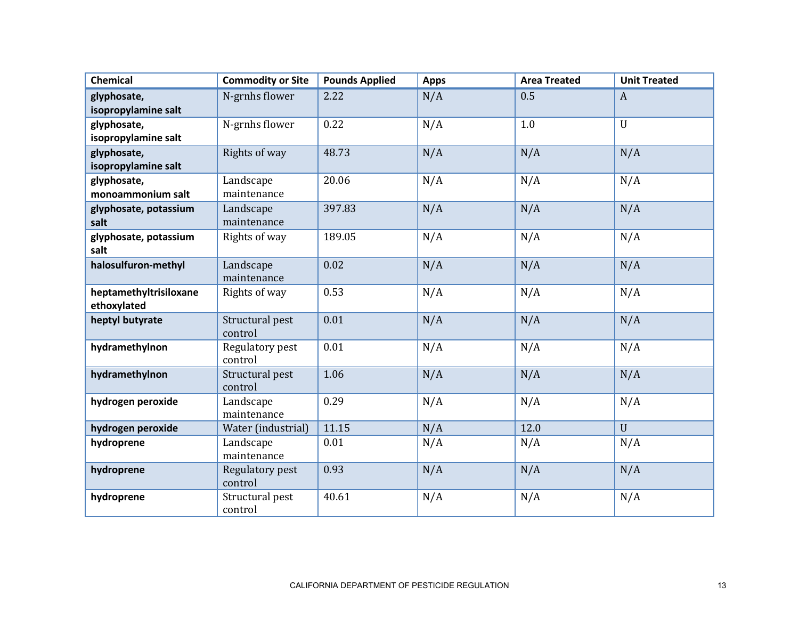| <b>Chemical</b>        | <b>Commodity or Site</b> | <b>Pounds Applied</b> | <b>Apps</b> | <b>Area Treated</b> | <b>Unit Treated</b> |
|------------------------|--------------------------|-----------------------|-------------|---------------------|---------------------|
| glyphosate,            | N-grnhs flower           | 2.22                  | N/A         | 0.5                 | $\mathbf{A}$        |
| isopropylamine salt    |                          |                       |             |                     |                     |
| glyphosate,            | N-grnhs flower           | 0.22                  | N/A         | 1.0                 | $\mathbf{U}$        |
| isopropylamine salt    |                          |                       |             |                     |                     |
| glyphosate,            | Rights of way            | 48.73                 | N/A         | N/A                 | N/A                 |
| isopropylamine salt    |                          |                       |             |                     |                     |
| glyphosate,            | Landscape                | 20.06                 | N/A         | N/A                 | N/A                 |
| monoammonium salt      | maintenance              |                       |             |                     |                     |
| glyphosate, potassium  | Landscape                | 397.83                | N/A         | N/A                 | N/A                 |
| salt                   | maintenance              |                       |             |                     |                     |
| glyphosate, potassium  | Rights of way            | 189.05                | N/A         | N/A                 | N/A                 |
| salt                   |                          |                       |             |                     |                     |
| halosulfuron-methyl    | Landscape                | 0.02                  | N/A         | N/A                 | N/A                 |
|                        | maintenance              |                       |             |                     |                     |
| heptamethyltrisiloxane | Rights of way            | 0.53                  | N/A         | N/A                 | N/A                 |
| ethoxylated            |                          |                       |             |                     |                     |
| heptyl butyrate        | Structural pest          | 0.01                  | N/A         | N/A                 | N/A                 |
|                        | control                  |                       |             |                     |                     |
| hydramethylnon         | Regulatory pest          | 0.01                  | N/A         | N/A                 | N/A                 |
|                        | control                  |                       |             |                     |                     |
| hydramethylnon         | Structural pest          | 1.06                  | N/A         | N/A                 | N/A                 |
|                        | control                  |                       |             |                     |                     |
| hydrogen peroxide      | Landscape                | 0.29                  | N/A         | N/A                 | N/A                 |
|                        | maintenance              |                       |             |                     |                     |
| hydrogen peroxide      | Water (industrial)       | 11.15                 | N/A         | 12.0                | $\mathbf{U}$        |
| hydroprene             | Landscape                | 0.01                  | N/A         | N/A                 | N/A                 |
|                        | maintenance              |                       |             |                     |                     |
| hydroprene             | Regulatory pest          | 0.93                  | N/A         | N/A                 | N/A                 |
|                        | control                  |                       |             |                     |                     |
| hydroprene             | Structural pest          | 40.61                 | N/A         | N/A                 | N/A                 |
|                        | control                  |                       |             |                     |                     |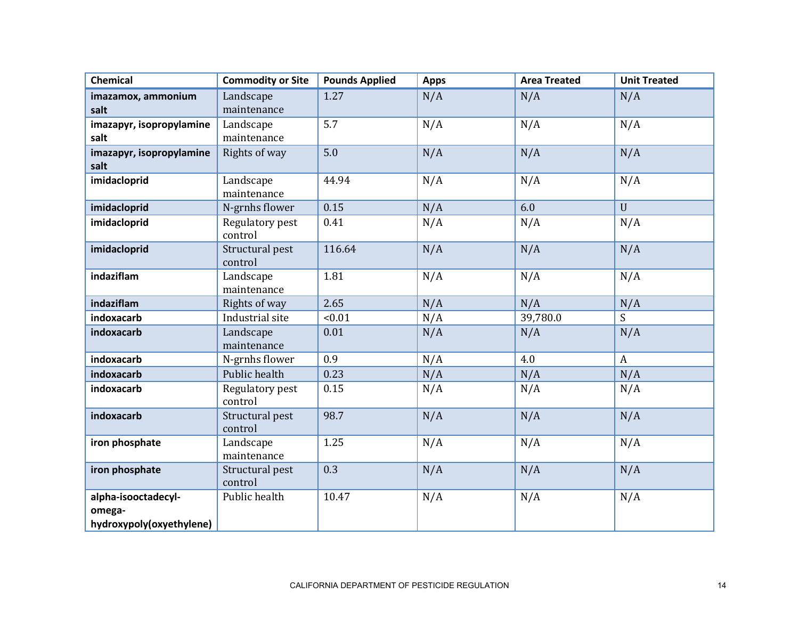| Chemical                                                  | <b>Commodity or Site</b>   | <b>Pounds Applied</b> | <b>Apps</b> | <b>Area Treated</b> | <b>Unit Treated</b> |
|-----------------------------------------------------------|----------------------------|-----------------------|-------------|---------------------|---------------------|
| imazamox, ammonium                                        | Landscape                  | 1.27                  | N/A         | N/A                 | N/A                 |
| salt                                                      | maintenance                |                       |             |                     |                     |
| imazapyr, isopropylamine                                  | Landscape                  | 5.7                   | N/A         | N/A                 | N/A                 |
| salt                                                      | maintenance                |                       |             |                     |                     |
| imazapyr, isopropylamine                                  | Rights of way              | 5.0                   | N/A         | N/A                 | N/A                 |
| salt                                                      |                            |                       |             |                     |                     |
| imidacloprid                                              | Landscape                  | 44.94                 | N/A         | N/A                 | N/A                 |
|                                                           | maintenance                | 0.15                  | N/A         | 6.0                 | $\mathbf{U}$        |
| imidacloprid                                              | N-grnhs flower             |                       |             |                     |                     |
| imidacloprid                                              | Regulatory pest<br>control | 0.41                  | N/A         | N/A                 | N/A                 |
| imidacloprid                                              | Structural pest<br>control | 116.64                | N/A         | N/A                 | N/A                 |
| indaziflam                                                | Landscape<br>maintenance   | 1.81                  | N/A         | N/A                 | N/A                 |
| indaziflam                                                | Rights of way              | 2.65                  | N/A         | N/A                 | N/A                 |
| indoxacarb                                                | Industrial site            | < 0.01                | N/A         | 39,780.0            | S                   |
| indoxacarb                                                | Landscape<br>maintenance   | 0.01                  | N/A         | N/A                 | N/A                 |
| indoxacarb                                                | N-grnhs flower             | 0.9                   | N/A         | 4.0                 | $\mathbf{A}$        |
| indoxacarb                                                | Public health              | 0.23                  | N/A         | N/A                 | N/A                 |
| indoxacarb                                                | Regulatory pest<br>control | 0.15                  | N/A         | N/A                 | N/A                 |
| indoxacarb                                                | Structural pest<br>control | 98.7                  | N/A         | N/A                 | N/A                 |
| iron phosphate                                            | Landscape<br>maintenance   | 1.25                  | N/A         | N/A                 | N/A                 |
| iron phosphate                                            | Structural pest<br>control | 0.3                   | N/A         | N/A                 | N/A                 |
| alpha-isooctadecyl-<br>omega-<br>hydroxypoly(oxyethylene) | Public health              | 10.47                 | N/A         | N/A                 | N/A                 |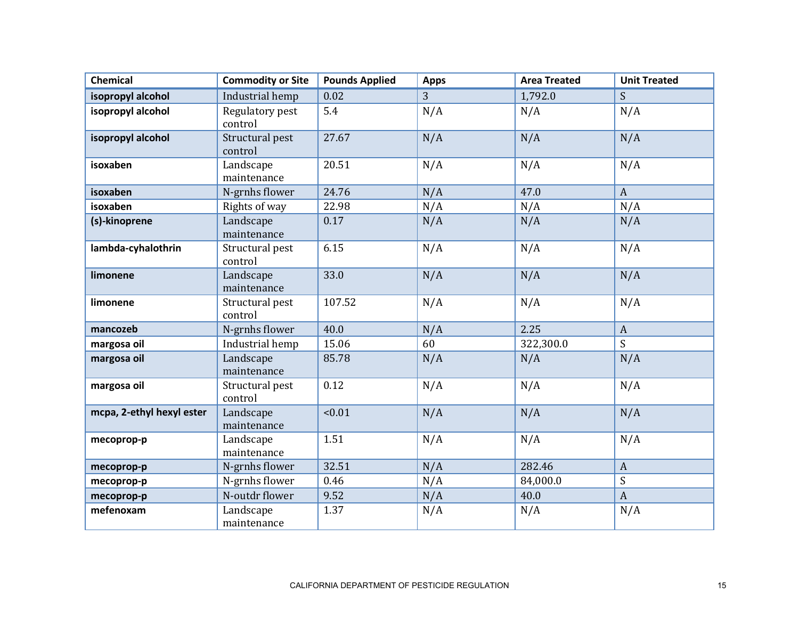| <b>Chemical</b>           | <b>Commodity or Site</b>   | <b>Pounds Applied</b> | <b>Apps</b> | <b>Area Treated</b> | <b>Unit Treated</b> |
|---------------------------|----------------------------|-----------------------|-------------|---------------------|---------------------|
| isopropyl alcohol         | Industrial hemp            | 0.02                  | 3           | 1,792.0             | S                   |
| isopropyl alcohol         | Regulatory pest<br>control | 5.4                   | N/A         | N/A                 | N/A                 |
| isopropyl alcohol         | Structural pest<br>control | 27.67                 | N/A         | N/A                 | N/A                 |
| isoxaben                  | Landscape<br>maintenance   | 20.51                 | N/A         | N/A                 | N/A                 |
| isoxaben                  | N-grnhs flower             | 24.76                 | N/A         | 47.0                | $\mathbf{A}$        |
| isoxaben                  | Rights of way              | 22.98                 | N/A         | N/A                 | N/A                 |
| (s)-kinoprene             | Landscape<br>maintenance   | 0.17                  | N/A         | N/A                 | N/A                 |
| lambda-cyhalothrin        | Structural pest<br>control | 6.15                  | N/A         | N/A                 | N/A                 |
| limonene                  | Landscape<br>maintenance   | 33.0                  | N/A         | N/A                 | N/A                 |
| limonene                  | Structural pest<br>control | 107.52                | N/A         | N/A                 | N/A                 |
| mancozeb                  | N-grnhs flower             | 40.0                  | N/A         | 2.25                | $\mathbf{A}$        |
| margosa oil               | Industrial hemp            | 15.06                 | 60          | 322,300.0           | S                   |
| margosa oil               | Landscape<br>maintenance   | 85.78                 | N/A         | N/A                 | N/A                 |
| margosa oil               | Structural pest<br>control | 0.12                  | N/A         | N/A                 | N/A                 |
| mcpa, 2-ethyl hexyl ester | Landscape<br>maintenance   | < 0.01                | N/A         | N/A                 | N/A                 |
| mecoprop-p                | Landscape<br>maintenance   | 1.51                  | N/A         | N/A                 | N/A                 |
| mecoprop-p                | N-grnhs flower             | 32.51                 | N/A         | 282.46              | $\mathbf{A}$        |
| mecoprop-p                | N-grnhs flower             | 0.46                  | N/A         | 84,000.0            | S                   |
| mecoprop-p                | N-outdr flower             | 9.52                  | N/A         | 40.0                | $\mathbf{A}$        |
| mefenoxam                 | Landscape<br>maintenance   | 1.37                  | N/A         | N/A                 | N/A                 |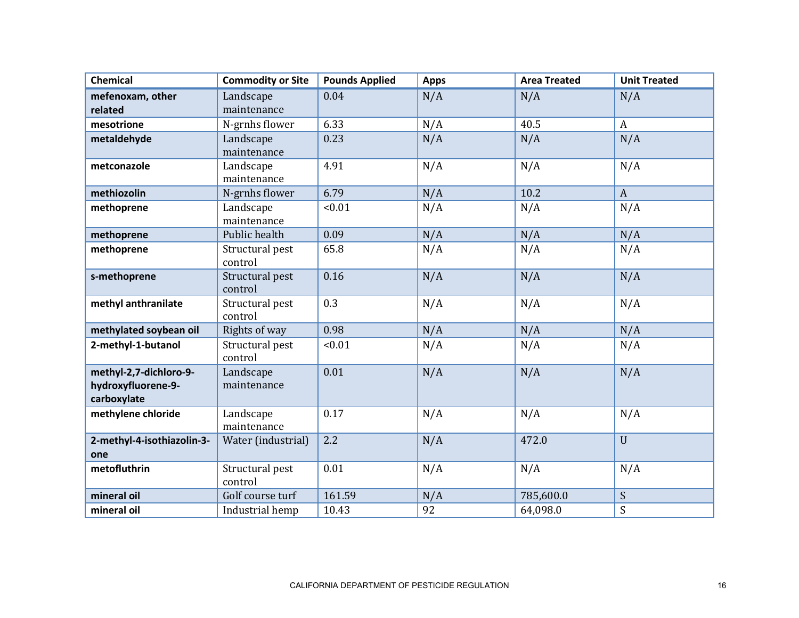| <b>Chemical</b>            | <b>Commodity or Site</b> | <b>Pounds Applied</b> | <b>Apps</b> | <b>Area Treated</b> | <b>Unit Treated</b> |
|----------------------------|--------------------------|-----------------------|-------------|---------------------|---------------------|
| mefenoxam, other           | Landscape                | 0.04                  | N/A         | N/A                 | N/A                 |
| related                    | maintenance              |                       |             |                     |                     |
| mesotrione                 | N-grnhs flower           | 6.33                  | N/A         | 40.5                | $\boldsymbol{A}$    |
| metaldehyde                | Landscape                | 0.23                  | N/A         | N/A                 | N/A                 |
|                            | maintenance              |                       |             |                     |                     |
| metconazole                | Landscape                | 4.91                  | N/A         | N/A                 | N/A                 |
|                            | maintenance              |                       |             |                     |                     |
| methiozolin                | N-grnhs flower           | 6.79                  | N/A         | 10.2                | $\mathbf{A}$        |
| methoprene                 | Landscape                | < 0.01                | N/A         | N/A                 | N/A                 |
|                            | maintenance              |                       |             |                     |                     |
| methoprene                 | Public health            | 0.09                  | N/A         | N/A                 | N/A                 |
| methoprene                 | Structural pest          | 65.8                  | N/A         | N/A                 | N/A                 |
|                            | control                  |                       |             |                     |                     |
| s-methoprene               | Structural pest          | 0.16                  | N/A         | N/A                 | N/A                 |
|                            | control                  |                       |             |                     |                     |
| methyl anthranilate        | Structural pest          | 0.3                   | N/A         | N/A                 | N/A                 |
|                            | control                  |                       |             |                     |                     |
| methylated soybean oil     | Rights of way            | 0.98                  | N/A         | N/A                 | N/A                 |
| 2-methyl-1-butanol         | Structural pest          | < 0.01                | N/A         | N/A                 | N/A                 |
|                            | control                  |                       |             |                     |                     |
| methyl-2,7-dichloro-9-     | Landscape                | 0.01                  | N/A         | N/A                 | N/A                 |
| hydroxyfluorene-9-         | maintenance              |                       |             |                     |                     |
| carboxylate                |                          |                       |             |                     |                     |
| methylene chloride         | Landscape                | 0.17                  | N/A         | N/A                 | N/A                 |
|                            | maintenance              |                       |             |                     |                     |
| 2-methyl-4-isothiazolin-3- | Water (industrial)       | 2.2                   | N/A         | 472.0               | U                   |
| one                        |                          |                       |             |                     |                     |
| metofluthrin               | Structural pest          | 0.01                  | N/A         | N/A                 | N/A                 |
|                            | control                  |                       |             |                     |                     |
| mineral oil                | Golf course turf         | 161.59                | N/A         | 785,600.0           | S                   |
| mineral oil                | Industrial hemp          | 10.43                 | 92          | 64,098.0            | $\mathbf S$         |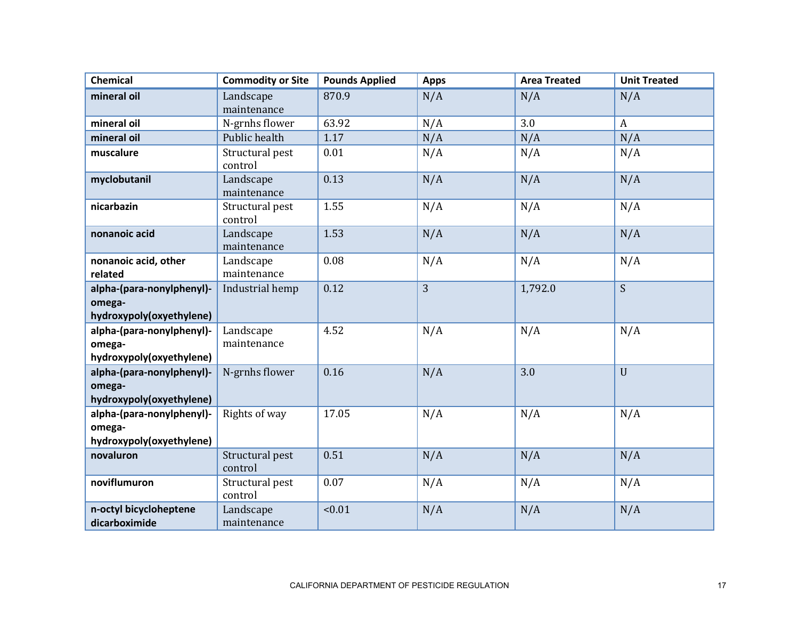| <b>Chemical</b>                                                 | <b>Commodity or Site</b>   | <b>Pounds Applied</b> | <b>Apps</b> | <b>Area Treated</b> | <b>Unit Treated</b> |
|-----------------------------------------------------------------|----------------------------|-----------------------|-------------|---------------------|---------------------|
| mineral oil                                                     | Landscape<br>maintenance   | 870.9                 | N/A         | N/A                 | N/A                 |
| mineral oil                                                     | N-grnhs flower             | 63.92                 | N/A         | 3.0                 | $\mathbf{A}$        |
| mineral oil                                                     | Public health              | 1.17                  | N/A         | N/A                 | N/A                 |
| muscalure                                                       | Structural pest<br>control | 0.01                  | N/A         | N/A                 | N/A                 |
| myclobutanil                                                    | Landscape<br>maintenance   | 0.13                  | N/A         | N/A                 | N/A                 |
| nicarbazin                                                      | Structural pest<br>control | 1.55                  | N/A         | N/A                 | N/A                 |
| nonanoic acid                                                   | Landscape<br>maintenance   | 1.53                  | N/A         | N/A                 | N/A                 |
| nonanoic acid, other<br>related                                 | Landscape<br>maintenance   | 0.08                  | N/A         | N/A                 | N/A                 |
| alpha-(para-nonylphenyl)-<br>omega-<br>hydroxypoly(oxyethylene) | Industrial hemp            | 0.12                  | 3           | 1,792.0             | S                   |
| alpha-(para-nonylphenyl)-<br>omega-<br>hydroxypoly(oxyethylene) | Landscape<br>maintenance   | 4.52                  | N/A         | N/A                 | N/A                 |
| alpha-(para-nonylphenyl)-<br>omega-<br>hydroxypoly(oxyethylene) | N-grnhs flower             | 0.16                  | N/A         | 3.0                 | $\mathbf{U}$        |
| alpha-(para-nonylphenyl)-<br>omega-<br>hydroxypoly(oxyethylene) | Rights of way              | 17.05                 | N/A         | N/A                 | N/A                 |
| novaluron                                                       | Structural pest<br>control | 0.51                  | N/A         | N/A                 | N/A                 |
| noviflumuron                                                    | Structural pest<br>control | 0.07                  | N/A         | N/A                 | N/A                 |
| n-octyl bicycloheptene<br>dicarboximide                         | Landscape<br>maintenance   | < 0.01                | N/A         | N/A                 | N/A                 |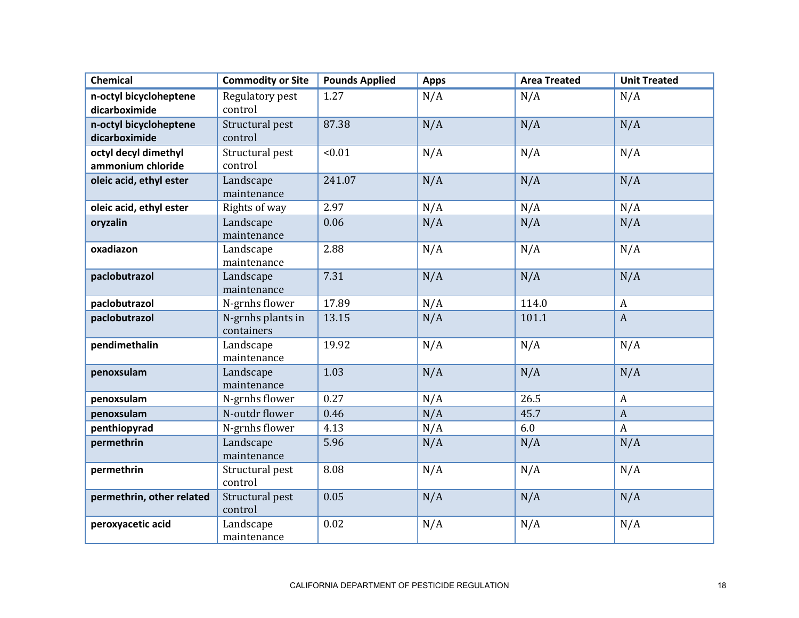| <b>Chemical</b>                           | <b>Commodity or Site</b>        | <b>Pounds Applied</b> | <b>Apps</b> | <b>Area Treated</b> | <b>Unit Treated</b> |
|-------------------------------------------|---------------------------------|-----------------------|-------------|---------------------|---------------------|
| n-octyl bicycloheptene<br>dicarboximide   | Regulatory pest<br>control      | 1.27                  | N/A         | N/A                 | N/A                 |
| n-octyl bicycloheptene<br>dicarboximide   | Structural pest<br>control      | 87.38                 | N/A         | N/A                 | N/A                 |
| octyl decyl dimethyl<br>ammonium chloride | Structural pest<br>control      | < 0.01                | N/A         | N/A                 | N/A                 |
| oleic acid, ethyl ester                   | Landscape<br>maintenance        | 241.07                | N/A         | N/A                 | N/A                 |
| oleic acid, ethyl ester                   | Rights of way                   | 2.97                  | N/A         | N/A                 | N/A                 |
| oryzalin                                  | Landscape<br>maintenance        | 0.06                  | N/A         | N/A                 | N/A                 |
| oxadiazon                                 | Landscape<br>maintenance        | 2.88                  | N/A         | N/A                 | N/A                 |
| paclobutrazol                             | Landscape<br>maintenance        | 7.31                  | N/A         | N/A                 | N/A                 |
| paclobutrazol                             | N-grnhs flower                  | 17.89                 | N/A         | 114.0               | $\mathbf{A}$        |
| paclobutrazol                             | N-grnhs plants in<br>containers | 13.15                 | N/A         | 101.1               | $\overline{A}$      |
| pendimethalin                             | Landscape<br>maintenance        | 19.92                 | N/A         | N/A                 | N/A                 |
| penoxsulam                                | Landscape<br>maintenance        | 1.03                  | N/A         | N/A                 | N/A                 |
| penoxsulam                                | N-grnhs flower                  | 0.27                  | N/A         | 26.5                | $\mathbf{A}$        |
| penoxsulam                                | N-outdr flower                  | 0.46                  | N/A         | 45.7                | $\boldsymbol{A}$    |
| penthiopyrad                              | N-grnhs flower                  | 4.13                  | N/A         | 6.0                 | $\boldsymbol{A}$    |
| permethrin                                | Landscape<br>maintenance        | 5.96                  | N/A         | N/A                 | N/A                 |
| permethrin                                | Structural pest<br>control      | 8.08                  | N/A         | N/A                 | N/A                 |
| permethrin, other related                 | Structural pest<br>control      | 0.05                  | N/A         | N/A                 | N/A                 |
| peroxyacetic acid                         | Landscape<br>maintenance        | 0.02                  | N/A         | N/A                 | N/A                 |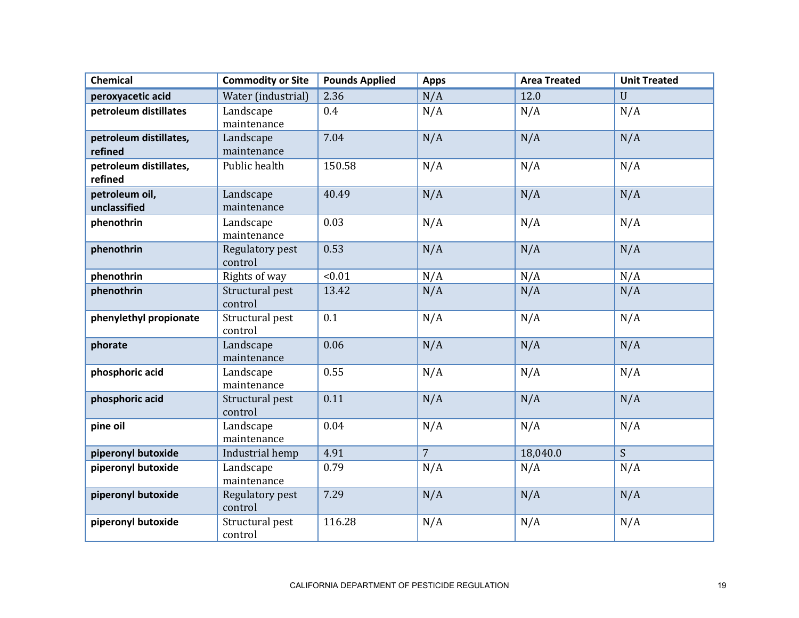| <b>Chemical</b>                   | <b>Commodity or Site</b>   | <b>Pounds Applied</b> | <b>Apps</b>    | <b>Area Treated</b> | <b>Unit Treated</b> |
|-----------------------------------|----------------------------|-----------------------|----------------|---------------------|---------------------|
| peroxyacetic acid                 | Water (industrial)         | 2.36                  | N/A            | 12.0                | U                   |
| petroleum distillates             | Landscape<br>maintenance   | 0.4                   | N/A            | N/A                 | N/A                 |
| petroleum distillates,<br>refined | Landscape<br>maintenance   | 7.04                  | N/A            | N/A                 | N/A                 |
| petroleum distillates,<br>refined | Public health              | 150.58                | N/A            | N/A                 | N/A                 |
| petroleum oil,<br>unclassified    | Landscape<br>maintenance   | 40.49                 | N/A            | N/A                 | N/A                 |
| phenothrin                        | Landscape<br>maintenance   | 0.03                  | N/A            | N/A                 | N/A                 |
| phenothrin                        | Regulatory pest<br>control | 0.53                  | N/A            | N/A                 | N/A                 |
| phenothrin                        | Rights of way              | < 0.01                | N/A            | N/A                 | N/A                 |
| phenothrin                        | Structural pest<br>control | 13.42                 | N/A            | N/A                 | N/A                 |
| phenylethyl propionate            | Structural pest<br>control | 0.1                   | N/A            | N/A                 | N/A                 |
| phorate                           | Landscape<br>maintenance   | 0.06                  | N/A            | N/A                 | N/A                 |
| phosphoric acid                   | Landscape<br>maintenance   | 0.55                  | N/A            | N/A                 | N/A                 |
| phosphoric acid                   | Structural pest<br>control | 0.11                  | N/A            | N/A                 | N/A                 |
| pine oil                          | Landscape<br>maintenance   | 0.04                  | N/A            | N/A                 | N/A                 |
| piperonyl butoxide                | Industrial hemp            | 4.91                  | $\overline{7}$ | 18,040.0            | S                   |
| piperonyl butoxide                | Landscape<br>maintenance   | 0.79                  | N/A            | N/A                 | N/A                 |
| piperonyl butoxide                | Regulatory pest<br>control | 7.29                  | N/A            | N/A                 | N/A                 |
| piperonyl butoxide                | Structural pest<br>control | 116.28                | N/A            | N/A                 | N/A                 |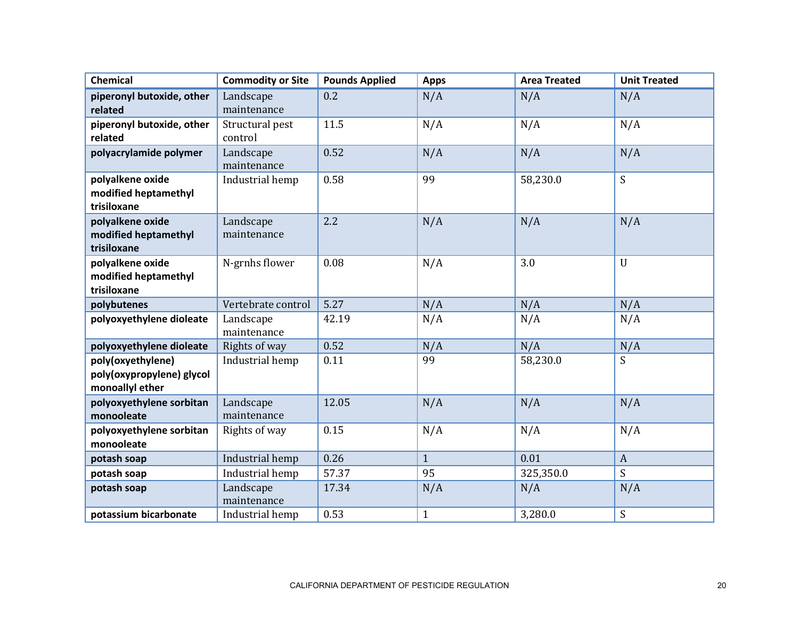| <b>Chemical</b>           | <b>Commodity or Site</b> | <b>Pounds Applied</b> | <b>Apps</b>  | <b>Area Treated</b> | <b>Unit Treated</b> |
|---------------------------|--------------------------|-----------------------|--------------|---------------------|---------------------|
| piperonyl butoxide, other | Landscape                | 0.2                   | N/A          | N/A                 | N/A                 |
| related                   | maintenance              |                       |              |                     |                     |
| piperonyl butoxide, other | Structural pest          | 11.5                  | N/A          | N/A                 | N/A                 |
| related                   | control                  |                       |              |                     |                     |
| polyacrylamide polymer    | Landscape                | 0.52                  | N/A          | N/A                 | N/A                 |
|                           | maintenance              |                       |              |                     |                     |
| polyalkene oxide          | Industrial hemp          | 0.58                  | 99           | 58,230.0            | S                   |
| modified heptamethyl      |                          |                       |              |                     |                     |
| trisiloxane               |                          |                       |              |                     |                     |
| polyalkene oxide          | Landscape                | 2.2                   | N/A          | N/A                 | N/A                 |
| modified heptamethyl      | maintenance              |                       |              |                     |                     |
| trisiloxane               |                          |                       |              |                     |                     |
| polyalkene oxide          | N-grnhs flower           | 0.08                  | N/A          | 3.0                 | $\mathbf{U}$        |
| modified heptamethyl      |                          |                       |              |                     |                     |
| trisiloxane               |                          |                       |              |                     |                     |
| polybutenes               | Vertebrate control       | 5.27                  | N/A          | N/A                 | N/A                 |
| polyoxyethylene dioleate  | Landscape                | 42.19                 | N/A          | N/A                 | N/A                 |
|                           | maintenance              |                       |              |                     |                     |
| polyoxyethylene dioleate  | Rights of way            | 0.52                  | N/A          | N/A                 | N/A                 |
| poly(oxyethylene)         | Industrial hemp          | 0.11                  | 99           | 58,230.0            | S                   |
| poly(oxypropylene) glycol |                          |                       |              |                     |                     |
| monoallyl ether           |                          |                       |              |                     |                     |
| polyoxyethylene sorbitan  | Landscape                | 12.05                 | N/A          | N/A                 | N/A                 |
| monooleate                | maintenance              |                       |              |                     |                     |
| polyoxyethylene sorbitan  | Rights of way            | 0.15                  | N/A          | N/A                 | N/A                 |
| monooleate                |                          |                       |              |                     |                     |
| potash soap               | Industrial hemp          | 0.26                  | $\mathbf{1}$ | 0.01                | $\mathbf{A}$        |
| potash soap               | Industrial hemp          | 57.37                 | 95           | 325,350.0           | S                   |
| potash soap               | Landscape                | 17.34                 | N/A          | N/A                 | N/A                 |
|                           | maintenance              |                       |              |                     |                     |
| potassium bicarbonate     | Industrial hemp          | 0.53                  | $\mathbf{1}$ | 3,280.0             | $\boldsymbol{S}$    |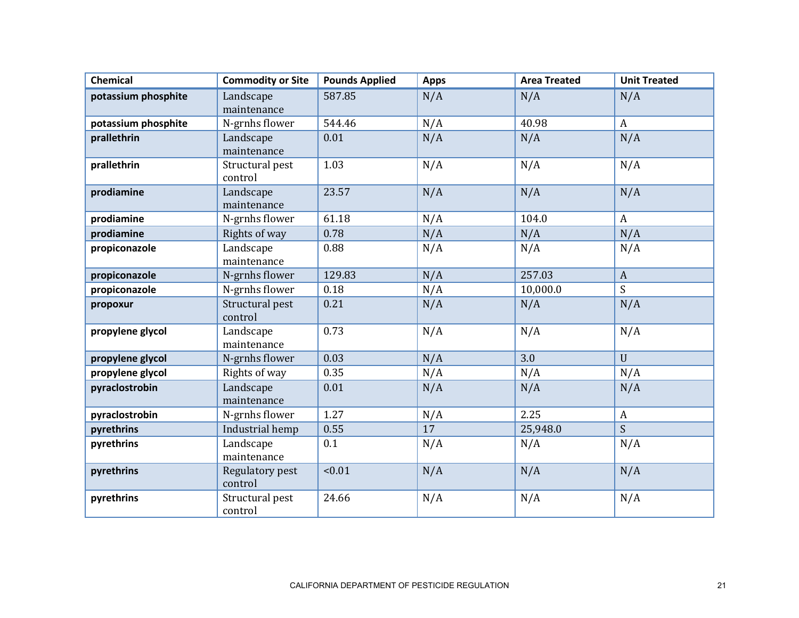| <b>Chemical</b>     | <b>Commodity or Site</b>   | <b>Pounds Applied</b> | <b>Apps</b> | <b>Area Treated</b> | <b>Unit Treated</b> |
|---------------------|----------------------------|-----------------------|-------------|---------------------|---------------------|
| potassium phosphite | Landscape<br>maintenance   | 587.85                | N/A         | N/A                 | N/A                 |
| potassium phosphite | N-grnhs flower             | 544.46                | N/A         | 40.98               | $\mathbf{A}$        |
| prallethrin         | Landscape<br>maintenance   | 0.01                  | N/A         | N/A                 | N/A                 |
| prallethrin         | Structural pest<br>control | 1.03                  | N/A         | N/A                 | N/A                 |
| prodiamine          | Landscape<br>maintenance   | 23.57                 | N/A         | N/A                 | N/A                 |
| prodiamine          | N-grnhs flower             | 61.18                 | N/A         | 104.0               | $\mathbf{A}$        |
| prodiamine          | Rights of way              | 0.78                  | N/A         | N/A                 | N/A                 |
| propiconazole       | Landscape<br>maintenance   | 0.88                  | N/A         | N/A                 | N/A                 |
| propiconazole       | N-grnhs flower             | 129.83                | N/A         | 257.03              | $\mathbf{A}$        |
| propiconazole       | N-grnhs flower             | 0.18                  | N/A         | 10,000.0            | S.                  |
| propoxur            | Structural pest<br>control | 0.21                  | N/A         | N/A                 | N/A                 |
| propylene glycol    | Landscape<br>maintenance   | 0.73                  | N/A         | N/A                 | N/A                 |
| propylene glycol    | N-grnhs flower             | 0.03                  | N/A         | 3.0                 | $\mathbf{U}$        |
| propylene glycol    | Rights of way              | 0.35                  | N/A         | N/A                 | N/A                 |
| pyraclostrobin      | Landscape<br>maintenance   | 0.01                  | N/A         | N/A                 | N/A                 |
| pyraclostrobin      | N-grnhs flower             | 1.27                  | N/A         | 2.25                | $\mathbf{A}$        |
| pyrethrins          | Industrial hemp            | 0.55                  | 17          | 25,948.0            | $\mathsf{S}$        |
| pyrethrins          | Landscape<br>maintenance   | 0.1                   | N/A         | N/A                 | N/A                 |
| pyrethrins          | Regulatory pest<br>control | < 0.01                | N/A         | N/A                 | N/A                 |
| pyrethrins          | Structural pest<br>control | 24.66                 | N/A         | N/A                 | N/A                 |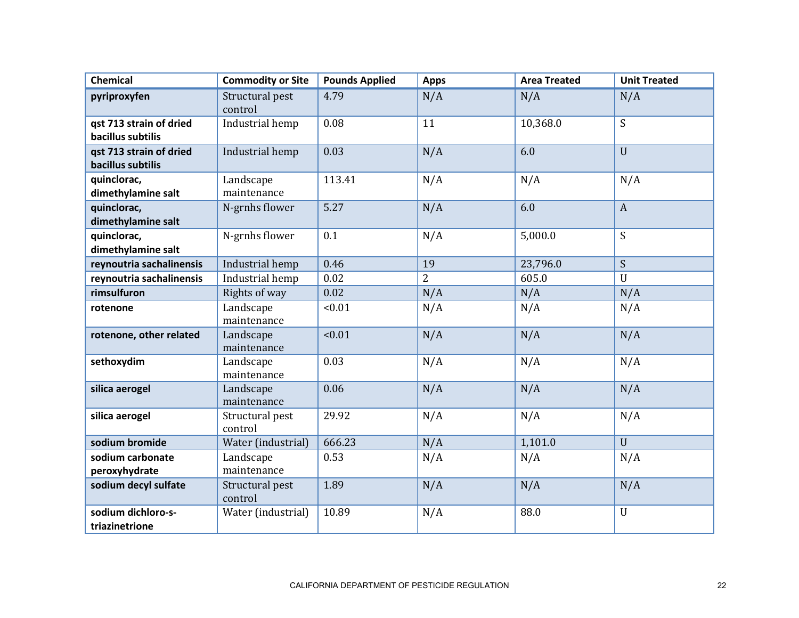| <b>Chemical</b>                              | <b>Commodity or Site</b>   | <b>Pounds Applied</b> | <b>Apps</b>    | <b>Area Treated</b> | <b>Unit Treated</b> |
|----------------------------------------------|----------------------------|-----------------------|----------------|---------------------|---------------------|
| pyriproxyfen                                 | Structural pest<br>control | 4.79                  | N/A            | N/A                 | N/A                 |
| qst 713 strain of dried<br>bacillus subtilis | Industrial hemp            | 0.08                  | 11             | 10,368.0            | S                   |
| qst 713 strain of dried<br>bacillus subtilis | Industrial hemp            | 0.03                  | N/A            | 6.0                 | $\mathbf{U}$        |
| quinclorac,<br>dimethylamine salt            | Landscape<br>maintenance   | 113.41                | N/A            | N/A                 | N/A                 |
| quinclorac,<br>dimethylamine salt            | N-grnhs flower             | 5.27                  | N/A            | 6.0                 | $\overline{A}$      |
| quinclorac,<br>dimethylamine salt            | N-grnhs flower             | 0.1                   | N/A            | 5,000.0             | S                   |
| reynoutria sachalinensis                     | Industrial hemp            | 0.46                  | 19             | 23,796.0            | $\overline{S}$      |
| reynoutria sachalinensis                     | Industrial hemp            | 0.02                  | $\overline{2}$ | 605.0               | $\mathbf{U}$        |
| rimsulfuron                                  | Rights of way              | 0.02                  | N/A            | N/A                 | N/A                 |
| rotenone                                     | Landscape<br>maintenance   | < 0.01                | N/A            | N/A                 | N/A                 |
| rotenone, other related                      | Landscape<br>maintenance   | < 0.01                | N/A            | N/A                 | N/A                 |
| sethoxydim                                   | Landscape<br>maintenance   | 0.03                  | N/A            | N/A                 | N/A                 |
| silica aerogel                               | Landscape<br>maintenance   | 0.06                  | N/A            | N/A                 | N/A                 |
| silica aerogel                               | Structural pest<br>control | 29.92                 | N/A            | N/A                 | N/A                 |
| sodium bromide                               | Water (industrial)         | 666.23                | N/A            | 1,101.0             | $\mathbf{U}$        |
| sodium carbonate<br>peroxyhydrate            | Landscape<br>maintenance   | 0.53                  | N/A            | N/A                 | N/A                 |
| sodium decyl sulfate                         | Structural pest<br>control | 1.89                  | N/A            | N/A                 | N/A                 |
| sodium dichloro-s-<br>triazinetrione         | Water (industrial)         | 10.89                 | N/A            | 88.0                | $\mathbf U$         |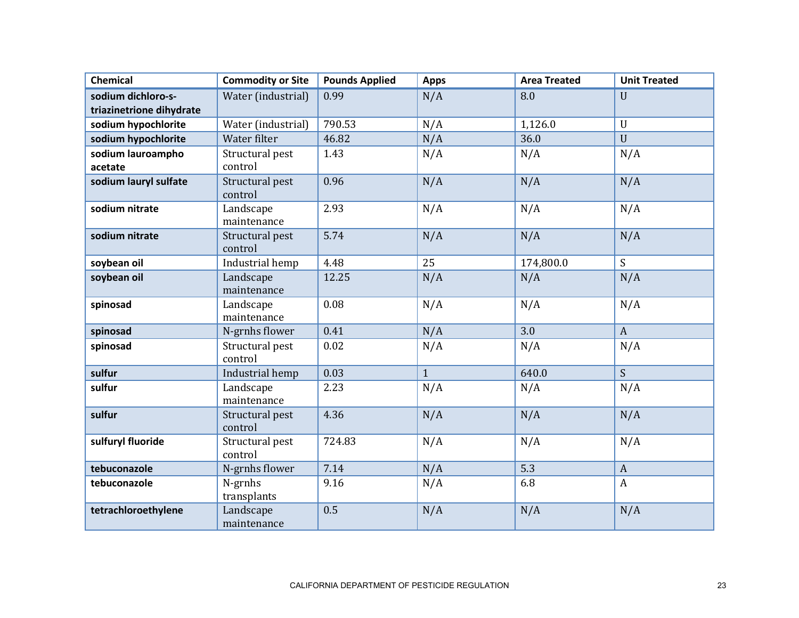| <b>Chemical</b>              | <b>Commodity or Site</b>   | <b>Pounds Applied</b> | <b>Apps</b>    | <b>Area Treated</b> | <b>Unit Treated</b> |
|------------------------------|----------------------------|-----------------------|----------------|---------------------|---------------------|
| sodium dichloro-s-           | Water (industrial)         | 0.99                  | N/A            | 8.0                 | $\mathbf{U}$        |
| triazinetrione dihydrate     |                            |                       |                |                     |                     |
| sodium hypochlorite          | Water (industrial)         | 790.53                | N/A            | 1,126.0             | $\mathbf U$         |
| sodium hypochlorite          | Water filter               | 46.82                 | N/A            | 36.0                | $\mathbf{U}$        |
| sodium lauroampho<br>acetate | Structural pest<br>control | 1.43                  | N/A            | N/A                 | N/A                 |
| sodium lauryl sulfate        | Structural pest<br>control | 0.96                  | N/A            | N/A                 | N/A                 |
| sodium nitrate               | Landscape<br>maintenance   | 2.93                  | N/A            | N/A                 | N/A                 |
| sodium nitrate               | Structural pest<br>control | 5.74                  | N/A            | N/A                 | N/A                 |
| soybean oil                  | Industrial hemp            | 4.48                  | 25             | 174,800.0           | S                   |
| soybean oil                  | Landscape<br>maintenance   | 12.25                 | N/A            | N/A                 | N/A                 |
| spinosad                     | Landscape<br>maintenance   | 0.08                  | N/A            | N/A                 | N/A                 |
| spinosad                     | N-grnhs flower             | 0.41                  | N/A            | 3.0                 | $\mathbf{A}$        |
| spinosad                     | Structural pest<br>control | 0.02                  | N/A            | N/A                 | N/A                 |
| sulfur                       | Industrial hemp            | 0.03                  | $\overline{1}$ | 640.0               | $\overline{S}$      |
| sulfur                       | Landscape<br>maintenance   | 2.23                  | N/A            | N/A                 | N/A                 |
| sulfur                       | Structural pest<br>control | 4.36                  | N/A            | N/A                 | N/A                 |
| sulfuryl fluoride            | Structural pest<br>control | 724.83                | N/A            | N/A                 | N/A                 |
| tebuconazole                 | N-grnhs flower             | 7.14                  | N/A            | 5.3                 | $\mathbf{A}$        |
| tebuconazole                 | N-grnhs<br>transplants     | 9.16                  | N/A            | 6.8                 | $\boldsymbol{A}$    |
| tetrachloroethylene          | Landscape<br>maintenance   | 0.5                   | N/A            | N/A                 | N/A                 |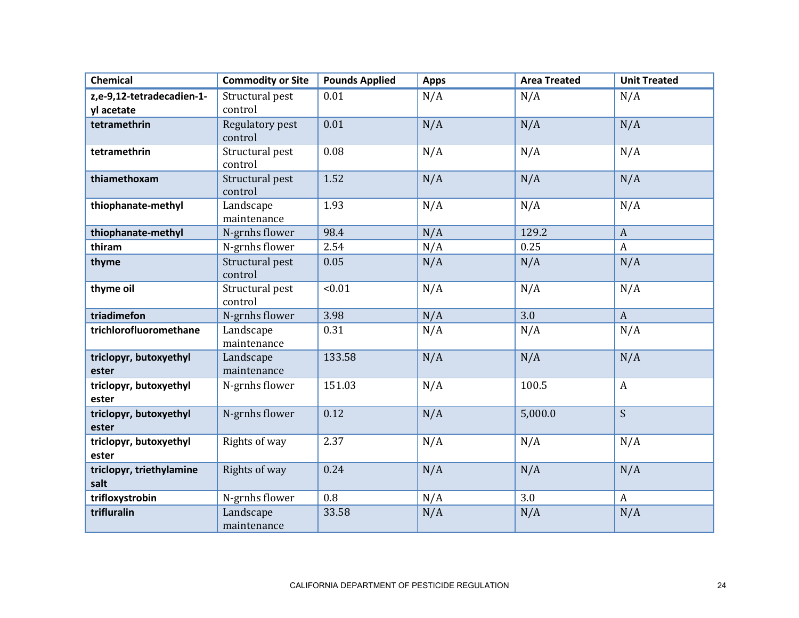| <b>Chemical</b>                  | <b>Commodity or Site</b>   | <b>Pounds Applied</b> | <b>Apps</b> | <b>Area Treated</b> | <b>Unit Treated</b> |
|----------------------------------|----------------------------|-----------------------|-------------|---------------------|---------------------|
| z,e-9,12-tetradecadien-1-        | Structural pest            | 0.01                  | N/A         | N/A                 | N/A                 |
| yl acetate                       | control                    |                       |             |                     |                     |
| tetramethrin                     | Regulatory pest<br>control | 0.01                  | N/A         | N/A                 | N/A                 |
| tetramethrin                     | Structural pest<br>control | 0.08                  | N/A         | N/A                 | N/A                 |
| thiamethoxam                     | Structural pest<br>control | 1.52                  | N/A         | N/A                 | N/A                 |
| thiophanate-methyl               | Landscape<br>maintenance   | 1.93                  | N/A         | N/A                 | N/A                 |
| thiophanate-methyl               | N-grnhs flower             | 98.4                  | N/A         | 129.2               | $\mathbf{A}$        |
| thiram                           | N-grnhs flower             | 2.54                  | N/A         | 0.25                | $\boldsymbol{A}$    |
| thyme                            | Structural pest<br>control | 0.05                  | N/A         | N/A                 | N/A                 |
| thyme oil                        | Structural pest<br>control | < 0.01                | N/A         | N/A                 | N/A                 |
| triadimefon                      | N-grnhs flower             | 3.98                  | N/A         | 3.0                 | $\mathbf{A}$        |
| trichlorofluoromethane           | Landscape<br>maintenance   | 0.31                  | N/A         | N/A                 | N/A                 |
| triclopyr, butoxyethyl<br>ester  | Landscape<br>maintenance   | 133.58                | N/A         | N/A                 | N/A                 |
| triclopyr, butoxyethyl<br>ester  | N-grnhs flower             | 151.03                | N/A         | 100.5               | $\boldsymbol{A}$    |
| triclopyr, butoxyethyl<br>ester  | N-grnhs flower             | 0.12                  | N/A         | 5,000.0             | $\overline{S}$      |
| triclopyr, butoxyethyl<br>ester  | Rights of way              | 2.37                  | N/A         | N/A                 | N/A                 |
| triclopyr, triethylamine<br>salt | Rights of way              | 0.24                  | N/A         | N/A                 | N/A                 |
| trifloxystrobin                  | N-grnhs flower             | 0.8                   | N/A         | 3.0                 | $\mathbf{A}$        |
| trifluralin                      | Landscape<br>maintenance   | 33.58                 | N/A         | N/A                 | N/A                 |